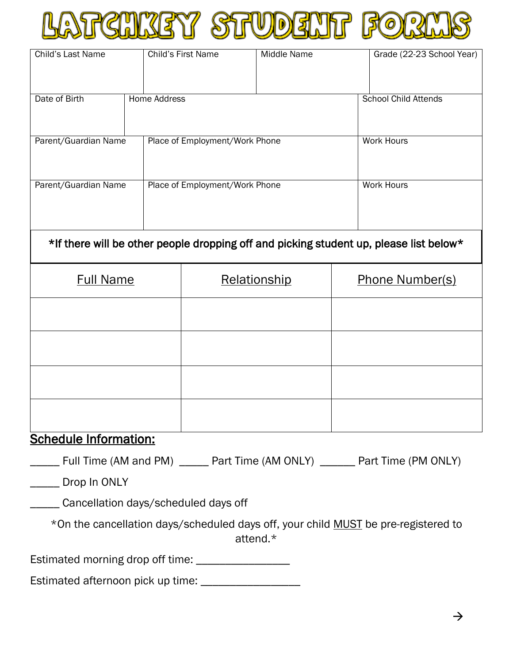

| Child's Last Name                                                                      | Child's First Name             |              | <b>Middle Name</b> | Grade (22-23 School Year)   |  |  |  |
|----------------------------------------------------------------------------------------|--------------------------------|--------------|--------------------|-----------------------------|--|--|--|
|                                                                                        |                                |              |                    |                             |  |  |  |
| Date of Birth                                                                          | <b>Home Address</b>            |              |                    | <b>School Child Attends</b> |  |  |  |
| Parent/Guardian Name                                                                   | Place of Employment/Work Phone |              |                    | <b>Work Hours</b>           |  |  |  |
| Parent/Guardian Name                                                                   | Place of Employment/Work Phone |              |                    | <b>Work Hours</b>           |  |  |  |
| *If there will be other people dropping off and picking student up, please list below* |                                |              |                    |                             |  |  |  |
| <b>Full Name</b>                                                                       |                                | Relationship |                    | <b>Phone Number(s)</b>      |  |  |  |
|                                                                                        |                                |              |                    |                             |  |  |  |
|                                                                                        |                                |              |                    |                             |  |  |  |
|                                                                                        |                                |              |                    |                             |  |  |  |
|                                                                                        |                                |              |                    |                             |  |  |  |
| <b>Schedule Information:</b>                                                           |                                |              |                    |                             |  |  |  |
| ____ Full Time (AM and PM) _____ Part Time (AM ONLY) ______ Part Time (PM ONLY)        |                                |              |                    |                             |  |  |  |
| ______ Drop In ONLY                                                                    |                                |              |                    |                             |  |  |  |
| ______ Cancellation days/scheduled days off                                            |                                |              |                    |                             |  |  |  |
| *On the cancellation days/scheduled days off, your child MUST be pre-registered to     |                                |              | attend.*           |                             |  |  |  |
| Estimated morning drop off time: _________________                                     |                                |              |                    |                             |  |  |  |
| Estimated afternoon pick up time: ____________________                                 |                                |              |                    |                             |  |  |  |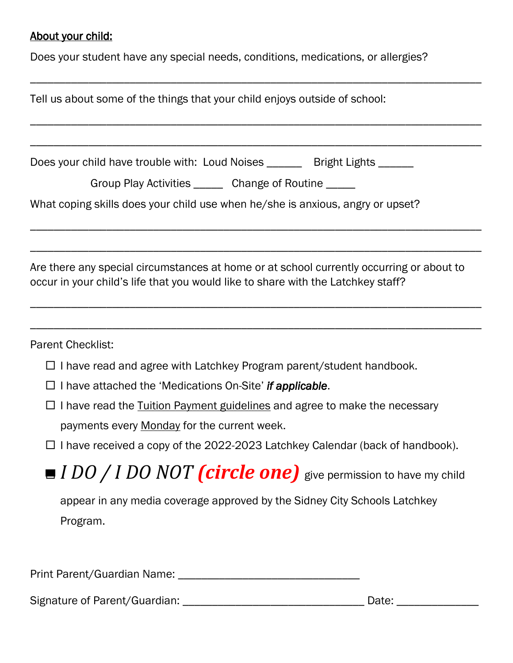## About your child:

Does your student have any special needs, conditions, medications, or allergies?

| Tell us about some of the things that your child enjoys outside of school:                                                                                                   |  |  |  |  |  |
|------------------------------------------------------------------------------------------------------------------------------------------------------------------------------|--|--|--|--|--|
|                                                                                                                                                                              |  |  |  |  |  |
| Does your child have trouble with: Loud Noises _______ Bright Lights ______                                                                                                  |  |  |  |  |  |
| Group Play Activities _______ Change of Routine _____                                                                                                                        |  |  |  |  |  |
| What coping skills does your child use when he/she is anxious, angry or upset?                                                                                               |  |  |  |  |  |
|                                                                                                                                                                              |  |  |  |  |  |
| Are there any special circumstances at home or at school currently occurring or about to<br>occur in your child's life that you would like to share with the Latchkey staff? |  |  |  |  |  |
|                                                                                                                                                                              |  |  |  |  |  |
| <b>Parent Checklist:</b>                                                                                                                                                     |  |  |  |  |  |
| $\Box$ I have read and agree with Latchkey Program parent/student handbook.                                                                                                  |  |  |  |  |  |
| $\Box$ I have attached the 'Medications On-Site' if applicable.                                                                                                              |  |  |  |  |  |
| $\Box$ I have read the Tuition Payment guidelines and agree to make the necessary<br>payments every Monday for the current week.                                             |  |  |  |  |  |
| □ I have received a copy of the 2022-2023 Latchkey Calendar (back of handbook).                                                                                              |  |  |  |  |  |
| ■ I DO / I DO NOT (circle one) give permission to have my child                                                                                                              |  |  |  |  |  |
| appear in any media coverage approved by the Sidney City Schools Latchkey<br>Program.                                                                                        |  |  |  |  |  |
|                                                                                                                                                                              |  |  |  |  |  |

Print Parent/Guardian Name: \_\_\_\_\_\_\_\_\_\_\_\_\_\_\_\_\_\_\_\_\_\_\_\_\_\_\_\_\_\_\_

Signature of Parent/Guardian: \_\_\_\_\_\_\_\_\_\_\_\_\_\_\_\_\_\_\_\_\_\_\_\_\_\_\_\_\_\_\_ Date: \_\_\_\_\_\_\_\_\_\_\_\_\_\_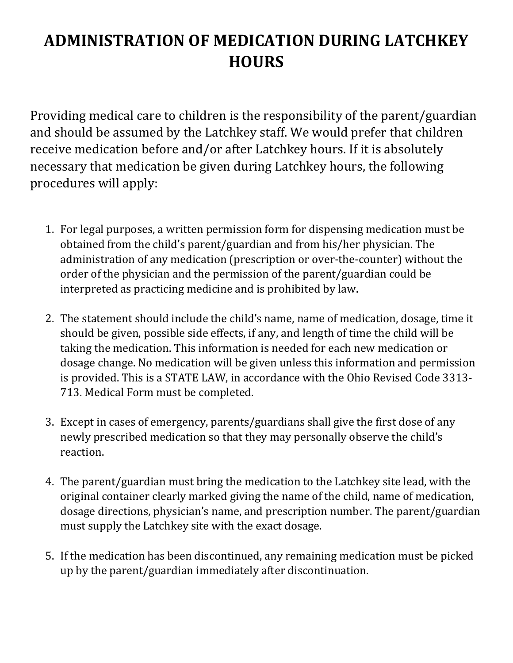## **ADMINISTRATION OF MEDICATION DURING LATCHKEY HOURS**

Providing medical care to children is the responsibility of the parent/guardian and should be assumed by the Latchkey staff. We would prefer that children receive medication before and/or after Latchkey hours. If it is absolutely necessary that medication be given during Latchkey hours, the following procedures will apply:

- 1. For legal purposes, a written permission form for dispensing medication must be obtained from the child's parent/guardian and from his/her physician. The administration of any medication (prescription or over-the-counter) without the order of the physician and the permission of the parent/guardian could be interpreted as practicing medicine and is prohibited by law.
- 2. The statement should include the child's name, name of medication, dosage, time it should be given, possible side effects, if any, and length of time the child will be taking the medication. This information is needed for each new medication or dosage change. No medication will be given unless this information and permission is provided. This is a STATE LAW, in accordance with the Ohio Revised Code 3313- 713. Medical Form must be completed.
- 3. Except in cases of emergency, parents/guardians shall give the first dose of any newly prescribed medication so that they may personally observe the child's reaction.
- 4. The parent/guardian must bring the medication to the Latchkey site lead, with the original container clearly marked giving the name of the child, name of medication, dosage directions, physician's name, and prescription number. The parent/guardian must supply the Latchkey site with the exact dosage.
- 5. If the medication has been discontinued, any remaining medication must be picked up by the parent/guardian immediately after discontinuation.